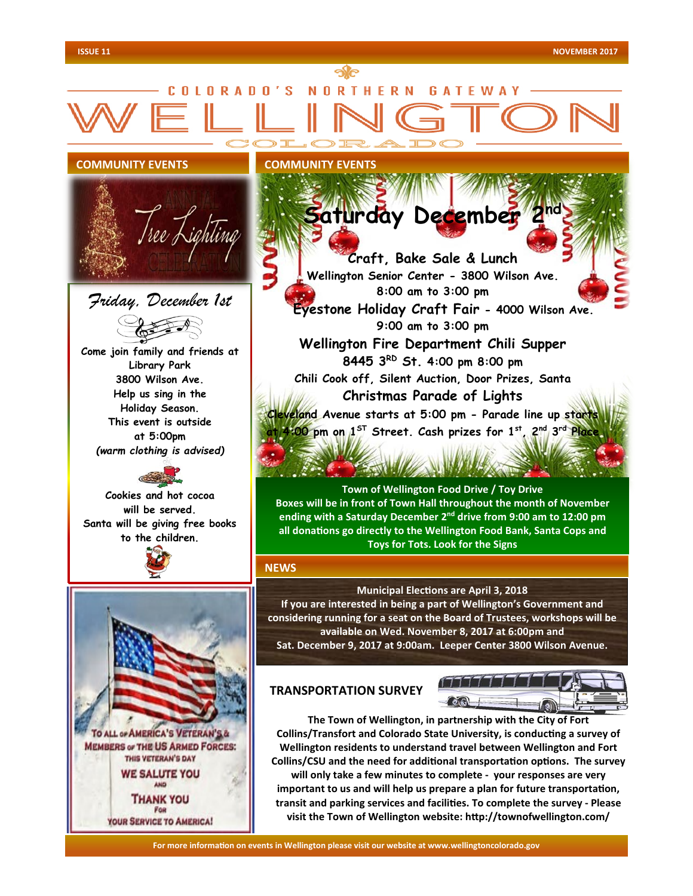

**For more information on events in Wellington please visit our website at www.wellingtoncolorado.gov For more information on events in Wellington please visit our website at www.wellingtoncolorado.gov**